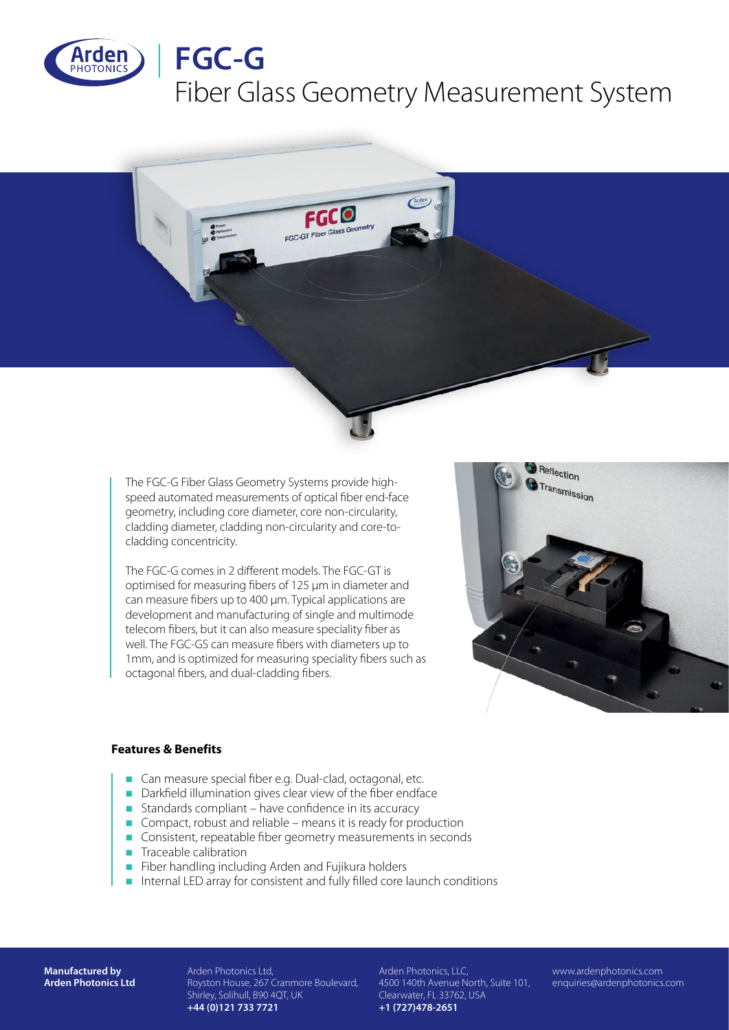

# **FGC-G**

## Fiber Glass Geometry Measurement System



The FGC-G Fiber Glass Geometry Systems provide highspeed automated measurements of optical fiber end-face geometry, including core diameter, core non-circularity, cladding diameter, cladding non-circularity and core-tocladding concentricity.

The FGC-G comes in 2 different models. The FGC-GT is optimised for measuring fibers of 125 µm in diameter and can measure fibers up to 400 µm. Typical applications are development and manufacturing of single and multimode telecom fibers, but it can also measure speciality fiber as well. The FGC-GS can measure fibers with diameters up to 1mm, and is optimized for measuring speciality fibers such as octagonal fibers, and dual-cladding fibers.



### **Features & Benefits**

- Can measure special fiber e.g. Dual-clad, octagonal, etc.
- n Darkfield illumination gives clear view of the fiber endface
- Standards compliant have confidence in its accuracy
- Compact, robust and reliable means it is ready for production
- Consistent, repeatable fiber geometry measurements in seconds
- $\blacksquare$  Traceable calibration
- **n** Fiber handling including Arden and Fujikura holders
- n Internal LED array for consistent and fully filled core launch conditions

**Manufactured by Arden Photonics Ltd** Arden Photonics Ltd, Royston House, 267 Cranmore Boulevard, Shirley, Solihull, B90 4QT, UK **+44 (0)121 733 7721**

Arden Photonics, LLC, 4500 140th Avenue North, Suite 101, Clearwater, FL 33762, USA **+1 (727)478-2651**

www.ardenphotonics.com enquiries@ardenphotonics.com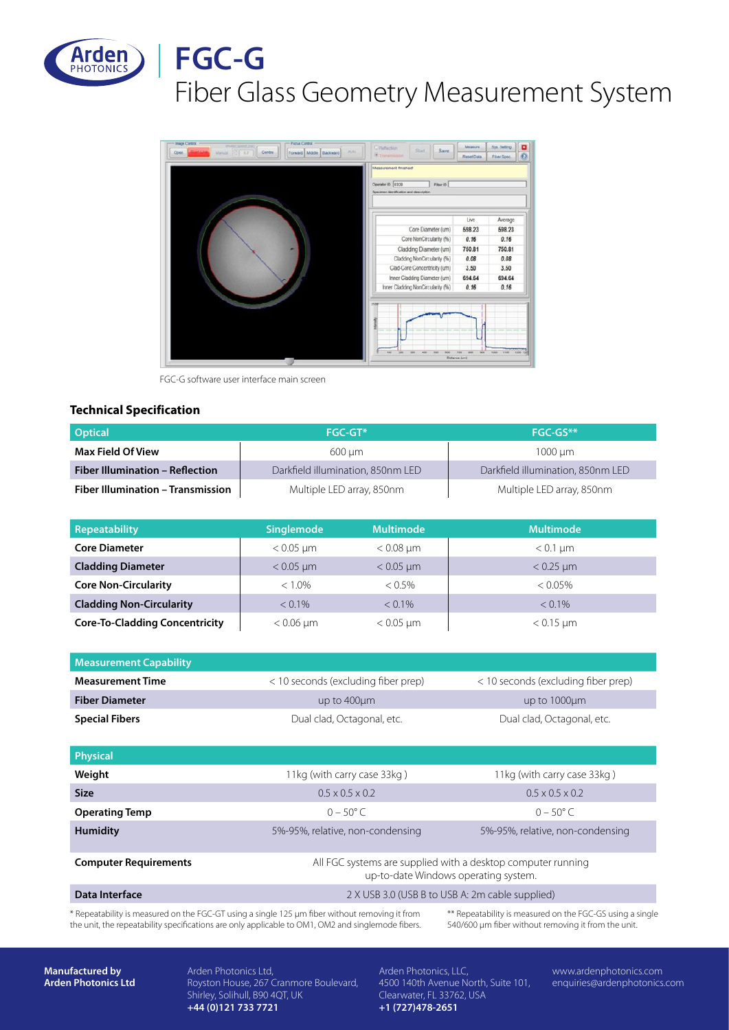

### **FGC-G** Fiber Glass Geometry Measurement System



FGC-G software user interface main screen

#### **Technical Specification**

| <b>Optical</b>                         | <b>FGC-GT*</b>                    | $FGC-GS**$                        |
|----------------------------------------|-----------------------------------|-----------------------------------|
| Max Field Of View                      | 600 um                            | 1000 um                           |
| <b>Fiber Illumination - Reflection</b> | Darkfield illumination, 850nm LED | Darkfield illumination, 850nm LED |
| Fiber Illumination - Transmission      | Multiple LED array, 850nm         | Multiple LED array, 850nm         |

| <b>Repeatability</b>                  | <b>Singlemode</b> | <b>Multimode</b> | <b>Multimode</b> |
|---------------------------------------|-------------------|------------------|------------------|
| <b>Core Diameter</b>                  | $< 0.05$ µm       | $< 0.08$ µm      | $< 0.1$ µm       |
| <b>Cladding Diameter</b>              | $< 0.05 \mu m$    | $< 0.05$ µm      | $< 0.25$ µm      |
| <b>Core Non-Circularity</b>           | $< 1.0\%$         | $< 0.5\%$        | $< 0.05\%$       |
| <b>Cladding Non-Circularity</b>       | $< 0.1\%$         | $< 0.1\%$        | $< 0.1\%$        |
| <b>Core-To-Cladding Concentricity</b> | $< 0.06 \mu m$    | $< 0.05 \mu m$   | $< 0.15 \mu m$   |

| <b>Measurement Capability</b> |                                     |                                     |
|-------------------------------|-------------------------------------|-------------------------------------|
| <b>Measurement Time</b>       | < 10 seconds (excluding fiber prep) | < 10 seconds (excluding fiber prep) |
| <b>Fiber Diameter</b>         | up to $400 \mu m$                   | up to 1000um                        |
| <b>Special Fibers</b>         | Dual clad, Octagonal, etc.          | Dual clad, Octagonal, etc.          |

| <b>Physical</b>              |                                                                                                      |                                  |
|------------------------------|------------------------------------------------------------------------------------------------------|----------------------------------|
| Weight                       | 11kg (with carry case 33kg)                                                                          | 11kg (with carry case 33kg)      |
| <b>Size</b>                  | $0.5 \times 0.5 \times 0.2$                                                                          | $0.5 \times 0.5 \times 0.2$      |
| <b>Operating Temp</b>        | $0 - 50^{\circ}$ C                                                                                   | $0 - 50^{\circ}$ C               |
| <b>Humidity</b>              | 5%-95%, relative, non-condensing                                                                     | 5%-95%, relative, non-condensing |
| <b>Computer Requirements</b> | All FGC systems are supplied with a desktop computer running<br>up-to-date Windows operating system. |                                  |
| Data Interface               | 2 X USB 3.0 (USB B to USB A: 2m cable supplied)                                                      |                                  |

\* Repeatability is measured on the FGC-GT using a single 125 µm fiber without removing it from the unit, the repeatability specifications are only applicable to OM1, OM2 and singlemode fibers.

\*\* Repeatability is measured on the FGC-GS using a single 540/600 µm fiber without removing it from the unit.

**Manufactured by Arden Photonics Ltd** Arden Photonics Ltd, Royston House, 267 Cranmore Boulevard, Shirley, Solihull, B90 4QT, UK **+44 (0)121 733 7721**

Arden Photonics, LLC, 4500 140th Avenue North, Suite 101, Clearwater, FL 33762, USA **+1 (727)478-2651**

www.ardenphotonics.com enquiries@ardenphotonics.com